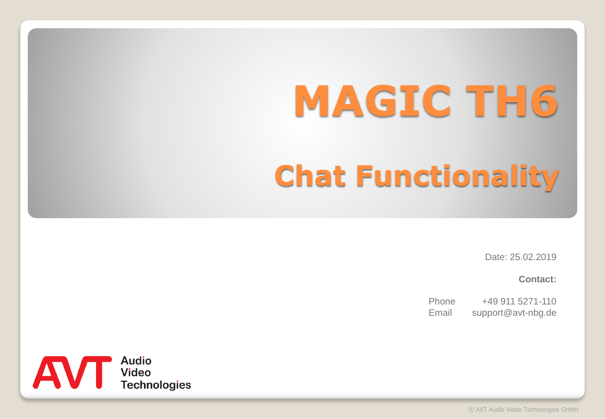# **MAGIC TH6 Chat Functionality**

Date: 25.02.2019

**Contact:**

Phone +49 911 5271-110 Email support@avt-nbg.de

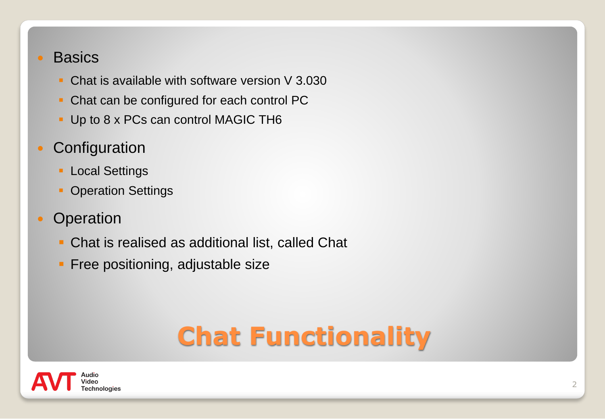#### **Basics**

- Chat is available with software version V 3.030
- Chat can be configured for each control PC
- **Up to 8 x PCs can control MAGIC TH6**
- Configuration
	- **ELOCAL Settings**
	- **Operation Settings**
- Operation
	- **Chat is realised as additional list, called Chat**
	- **Free positioning, adjustable size**

## **Chat Functionality**

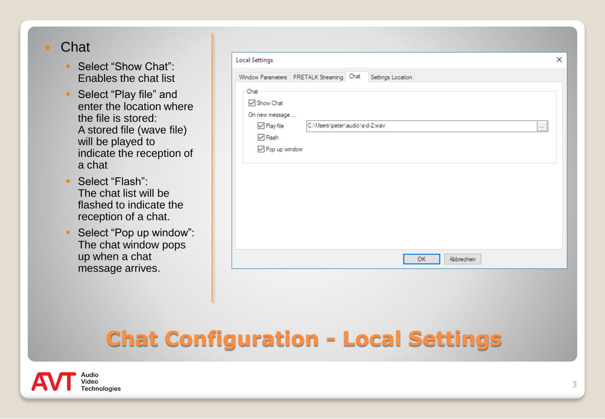#### Chat

- Select "Show Chat": Enables the chat list
- Select "Play file" and enter the location where the file is stored: A stored file (wave file) will be played to indicate the reception of a chat
- Select "Flash": The chat list will be flashed to indicate the reception of a chat.
- Select "Pop up window": The chat window pops up when a chat message arrives.

|                         | Window Parameters   PRETALK Streaming   Chat | Settings Location |     |           |          |
|-------------------------|----------------------------------------------|-------------------|-----|-----------|----------|
| Chat                    |                                              |                   |     |           |          |
| Show Chat               |                                              |                   |     |           |          |
| On new message          |                                              |                   |     |           |          |
| $\sqrt{}$ Play file     | C:\Users\peter\audio\s-d-2.wav               |                   |     |           | $\cdots$ |
| $\vee$ Flash            |                                              |                   |     |           |          |
| $\sqrt{}$ Pop up window |                                              |                   |     |           |          |
|                         |                                              |                   |     |           |          |
|                         |                                              |                   |     |           |          |
|                         |                                              |                   |     |           |          |
|                         |                                              |                   |     |           |          |
|                         |                                              |                   |     |           |          |
|                         |                                              |                   |     |           |          |
|                         |                                              |                   |     |           |          |
|                         |                                              |                   |     |           |          |
|                         |                                              |                   |     |           |          |
|                         |                                              |                   | OK. | Abbrechen |          |

#### **Chat Configuration - Local Settings**

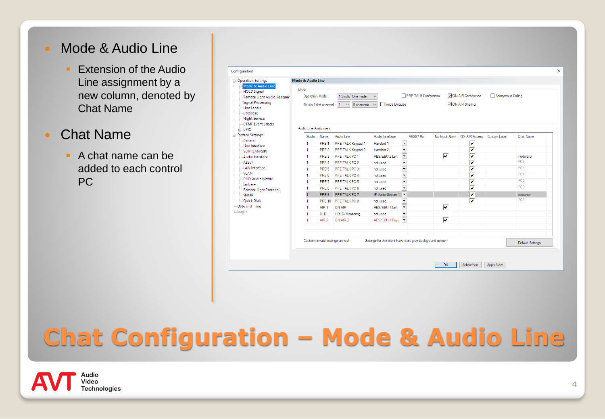#### • Mode & Audio Line

- **Extension of the Audio** Line assignment by a new column, denoted by Chat Name
- Chat Name
	- A chat name can be added to each control PC

| <b>E-Operation Settings</b>                                                                                                                       | Mode & Audio Line                                                                                                                                                                                               |                           |                                       |                              |                                                      |          |                         |                                      |              |                              |  |
|---------------------------------------------------------------------------------------------------------------------------------------------------|-----------------------------------------------------------------------------------------------------------------------------------------------------------------------------------------------------------------|---------------------------|---------------------------------------|------------------------------|------------------------------------------------------|----------|-------------------------|--------------------------------------|--------------|------------------------------|--|
| Mode & Audio Line<br><b>HOLD Signal</b><br>Remote Light Audio Assignm<br>Signal Processing<br>- Line Labels<br><b>Database</b><br>- Night Service | Mode<br>MON AIR Conference<br>PRE TALK Conference<br>Anonymous Calling<br>Operation Mode:<br>1 Studio: One Fader<br>ON AIR Sharing<br>Studio 1 first channel : $1 \times 6$ channels $\times$<br>Voice Disguise |                           |                                       |                              |                                                      |          |                         |                                      |              |                              |  |
| <b>DTMF Event Labels</b>                                                                                                                          |                                                                                                                                                                                                                 | Audio Line Assignment     |                                       |                              |                                                      |          |                         |                                      |              |                              |  |
| <b>E</b> GPIO<br>System Settings<br>General<br>Line Interface                                                                                     | Studio<br>1.                                                                                                                                                                                                    | Name<br>PRE 1             | Audio Line<br>PRE TALK Keypad 1       | Audio Interface<br>Handset 1 | $\overline{\phantom{a}}$                             | AES67 Rx |                         | No Input Alam   ON AIR Access  <br>⊽ | Custom Label | Chat Name                    |  |
| VolP (LAN/SIP)                                                                                                                                    | 1                                                                                                                                                                                                               | PRE <sub>2</sub>          | PRE TALK Keypad 2                     | Handset 2                    | $\overline{\phantom{a}}$                             |          |                         | ⊽                                    |              |                              |  |
| Audio Interface<br>AFS67                                                                                                                          | 1.                                                                                                                                                                                                              | PRE3                      | PRE TALK PC 1                         | AES/EBU 2 Left               | $\overline{\phantom{a}}$                             |          | $\overline{\mathbf{v}}$ | ⊽<br>⊽                               |              | moderator<br>PC <sub>2</sub> |  |
| <b>LAN</b> Interface                                                                                                                              | 1.<br>1.                                                                                                                                                                                                        | PRE 4<br>PRE <sub>5</sub> | PRE TALK PC 2<br><b>PRE TALK PC 3</b> | not used<br>not used         | $\overline{\phantom{a}}$<br>$\overline{\phantom{0}}$ |          |                         | $\overline{\mathbf{v}}$              |              | PC3                          |  |
| <b>VLAN</b>                                                                                                                                       | 1                                                                                                                                                                                                               | PRE 6                     | <b>PRE TALK PC 4</b>                  | not used                     | $\overline{\phantom{0}}$                             |          |                         | $\overline{\mathbf{v}}$              |              | PC4                          |  |
| <b>DHD Audio Matrix</b>                                                                                                                           | 1                                                                                                                                                                                                               | PRF 7                     | PRE TALK PC 5                         | not used                     | $\overline{\phantom{0}}$                             |          |                         | $\overline{\mathbf{v}}$              |              | PC <sub>5</sub>              |  |
| Ember+                                                                                                                                            | 1                                                                                                                                                                                                               | PRF 8                     | PRE TALK PC 6                         | not used                     | $\overline{\phantom{0}}$                             |          |                         | ⊽                                    |              | PC <sub>6</sub>              |  |
| Remote Light Protocol<br>SNMP                                                                                                                     | $\overline{1}$                                                                                                                                                                                                  | PRE 9                     | PRE TALK PC 7                         | IP Audio Stream 1            |                                                      |          |                         | ⊽                                    |              | screener                     |  |
| - Quick Dials                                                                                                                                     | 1                                                                                                                                                                                                               |                           | PRE 10 PRE TALK PC 8                  | not used                     | ►                                                    |          |                         | ⊽                                    |              | PC <sub>8</sub>              |  |
| Date and Time                                                                                                                                     | 1                                                                                                                                                                                                               | AIR <sub>1</sub>          | ON AIR                                | AES/EBU 1 Left               | $\overline{\phantom{a}}$                             |          | $\overline{\mathbf{v}}$ |                                      |              |                              |  |
| - Login                                                                                                                                           | 1                                                                                                                                                                                                               | <b>HLD</b>                | HOLD/Monitoring                       | not used                     | ≂                                                    |          |                         |                                      |              |                              |  |
|                                                                                                                                                   | 1                                                                                                                                                                                                               | AIR <sub>2</sub>          | ON AIR 2                              | AES/EBU 1 Right              |                                                      |          | ⊽                       |                                      |              |                              |  |
|                                                                                                                                                   | Caution: Invalid settings are red!<br>Settings for this client have dark gray background colour.                                                                                                                |                           |                                       |                              |                                                      |          |                         |                                      |              | Default Settings             |  |

### **Chat Configuration – Mode & Audio Line**

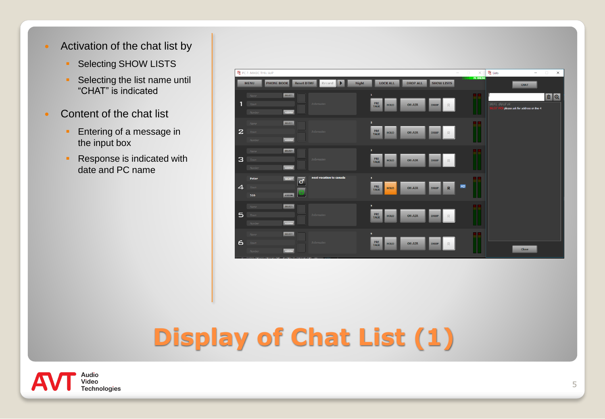- Activation of the chat list by
	- **Selecting SHOW LISTS**
	- **•** Selecting the list name until "CHAT" is indicated
- Content of the chat list
	- **Entering of a message in** the input box
	- **Response is indicated with** date and PC name



### **Display of Chat List (1)**

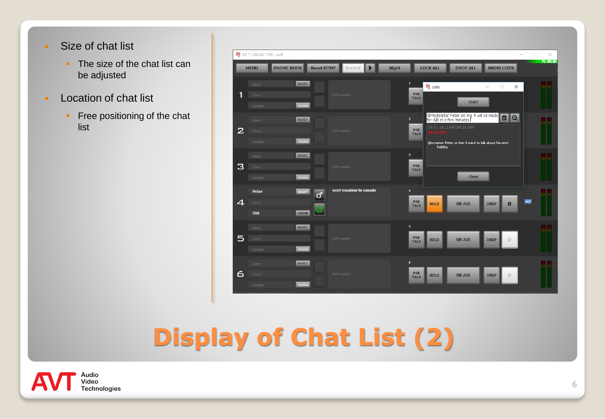- Size of chat list
	- **The size of the chat list can** be adjusted
- Location of chat list
	- **•** Free positioning of the chat list



### **Display of Chat List (2)**